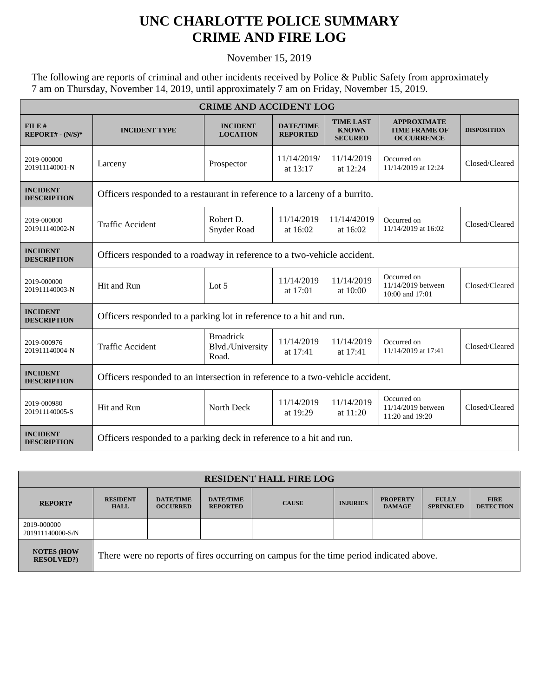## **UNC CHARLOTTE POLICE SUMMARY CRIME AND FIRE LOG**

November 15, 2019

The following are reports of criminal and other incidents received by Police & Public Safety from approximately 7 am on Thursday, November 14, 2019, until approximately 7 am on Friday, November 15, 2019.

| <b>CRIME AND ACCIDENT LOG</b>         |                                                                               |                                               |                                     |                                                    |                                                                 |                    |  |  |
|---------------------------------------|-------------------------------------------------------------------------------|-----------------------------------------------|-------------------------------------|----------------------------------------------------|-----------------------------------------------------------------|--------------------|--|--|
| FILE#<br>$REPORT# - (N/S)*$           | <b>INCIDENT TYPE</b>                                                          | <b>INCIDENT</b><br><b>LOCATION</b>            | <b>DATE/TIME</b><br><b>REPORTED</b> | <b>TIME LAST</b><br><b>KNOWN</b><br><b>SECURED</b> | <b>APPROXIMATE</b><br><b>TIME FRAME OF</b><br><b>OCCURRENCE</b> | <b>DISPOSITION</b> |  |  |
| 2019-000000<br>201911140001-N         | Larceny                                                                       | Prospector                                    | 11/14/2019/<br>at 13:17             | 11/14/2019<br>at 12:24                             | Occurred on<br>11/14/2019 at 12:24                              | Closed/Cleared     |  |  |
| <b>INCIDENT</b><br><b>DESCRIPTION</b> | Officers responded to a restaurant in reference to a larceny of a burrito.    |                                               |                                     |                                                    |                                                                 |                    |  |  |
| 2019-000000<br>201911140002-N         | <b>Traffic Accident</b>                                                       | Robert D.<br>Snyder Road                      | 11/14/2019<br>at 16:02              | 11/14/42019<br>at 16:02                            | Occurred on<br>11/14/2019 at 16:02                              | Closed/Cleared     |  |  |
| <b>INCIDENT</b><br><b>DESCRIPTION</b> | Officers responded to a roadway in reference to a two-vehicle accident.       |                                               |                                     |                                                    |                                                                 |                    |  |  |
| 2019-000000<br>201911140003-N         | Hit and Run                                                                   | Lot $5$                                       | 11/14/2019<br>at 17:01              | 11/14/2019<br>at $10:00$                           | Occurred on<br>11/14/2019 between<br>10:00 and 17:01            | Closed/Cleared     |  |  |
| <b>INCIDENT</b><br><b>DESCRIPTION</b> | Officers responded to a parking lot in reference to a hit and run.            |                                               |                                     |                                                    |                                                                 |                    |  |  |
| 2019-000976<br>201911140004-N         | <b>Traffic Accident</b>                                                       | <b>Broadrick</b><br>Blvd./University<br>Road. | 11/14/2019<br>at 17:41              | 11/14/2019<br>at $17:41$                           | Occurred on<br>11/14/2019 at 17:41                              | Closed/Cleared     |  |  |
| <b>INCIDENT</b><br><b>DESCRIPTION</b> | Officers responded to an intersection in reference to a two-vehicle accident. |                                               |                                     |                                                    |                                                                 |                    |  |  |
| 2019-000980<br>201911140005-S         | Hit and Run                                                                   | North Deck                                    | 11/14/2019<br>at 19:29              | 11/14/2019<br>at 11:20                             | Occurred on<br>11/14/2019 between<br>11:20 and 19:20            | Closed/Cleared     |  |  |
| <b>INCIDENT</b><br><b>DESCRIPTION</b> | Officers responded to a parking deck in reference to a hit and run.           |                                               |                                     |                                                    |                                                                 |                    |  |  |

| <b>RESIDENT HALL FIRE LOG</b>         |                                                                                         |                                     |                                     |              |                 |                                  |                                  |                                 |
|---------------------------------------|-----------------------------------------------------------------------------------------|-------------------------------------|-------------------------------------|--------------|-----------------|----------------------------------|----------------------------------|---------------------------------|
| <b>REPORT#</b>                        | <b>RESIDENT</b><br><b>HALL</b>                                                          | <b>DATE/TIME</b><br><b>OCCURRED</b> | <b>DATE/TIME</b><br><b>REPORTED</b> | <b>CAUSE</b> | <b>INJURIES</b> | <b>PROPERTY</b><br><b>DAMAGE</b> | <b>FULLY</b><br><b>SPRINKLED</b> | <b>FIRE</b><br><b>DETECTION</b> |
| 2019-000000<br>201911140000-S/N       |                                                                                         |                                     |                                     |              |                 |                                  |                                  |                                 |
| <b>NOTES (HOW</b><br><b>RESOLVED?</b> | There were no reports of fires occurring on campus for the time period indicated above. |                                     |                                     |              |                 |                                  |                                  |                                 |